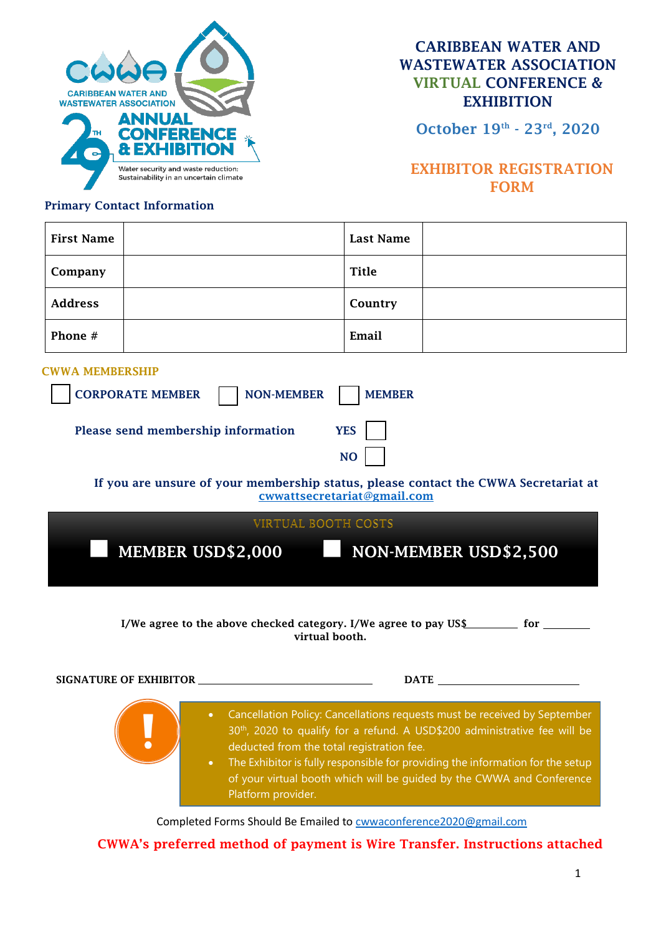

CARIBBEAN WATER AND WASTEWATER ASSOCIATION VIRTUAL CONFERENCE & **EXHIBITION** 

October 19th - 23rd, 2020

## EXHIBITOR REGISTRATION FORM

### Primary Contact Information

| <b>First Name</b>                                                                                                                                                                                                                                                              |  | <b>Last Name</b> |  |  |
|--------------------------------------------------------------------------------------------------------------------------------------------------------------------------------------------------------------------------------------------------------------------------------|--|------------------|--|--|
| Company                                                                                                                                                                                                                                                                        |  | <b>Title</b>     |  |  |
| <b>Address</b>                                                                                                                                                                                                                                                                 |  | Country          |  |  |
| Phone #                                                                                                                                                                                                                                                                        |  | Email            |  |  |
| <b>CWWA MEMBERSHIP</b><br><b>CORPORATE MEMBER</b><br><b>NON-MEMBER</b><br><b>MEMBER</b><br>Please send membership information<br><b>YES</b><br><b>NO</b><br>If you are unsure of your membership status, please contact the CWWA Secretariat at<br>cwwattsecretariat@gmail.com |  |                  |  |  |
| VIRTUAL BOOTH COSTS                                                                                                                                                                                                                                                            |  |                  |  |  |
| MEMBER USD\$2,000<br>NON-MEMBER USD\$2,500                                                                                                                                                                                                                                     |  |                  |  |  |

I/We agree to the above checked category. I/We agree to pay US\$ for \_\_\_\_\_\_ virtual booth.

| SIGNATURE OF EXHIBITOR | <b>DATE</b>                                                                                                                                                                                                                                                                                                                                                                                       |
|------------------------|---------------------------------------------------------------------------------------------------------------------------------------------------------------------------------------------------------------------------------------------------------------------------------------------------------------------------------------------------------------------------------------------------|
|                        | Cancellation Policy: Cancellations requests must be received by September<br>30 <sup>th</sup> , 2020 to qualify for a refund. A USD\$200 administrative fee will be<br>deducted from the total registration fee.<br>The Exhibitor is fully responsible for providing the information for the setup<br>of your virtual booth which will be guided by the CWWA and Conference<br>Platform provider. |

Completed Forms Should Be Emailed to [cwwaconference2020@gmail.com](mailto:cwwaconference2020@gmail.com)

### CWWA's preferred method of payment is Wire Transfer. Instructions attached